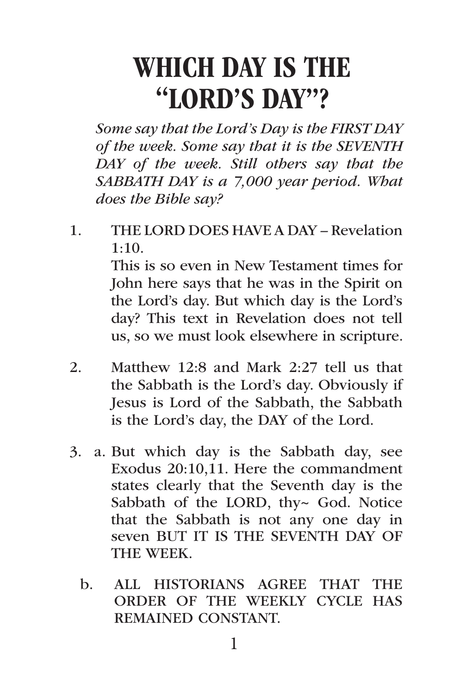# WHICH DAY IS THE "LORD'S DAY"?

*Some say that the Lord's Day is the FIRST DAY of the week. Some say that it is the SEVENTH DAY of the week. Still others say that the SABBATH DAY is a 7,000 year period. What does the Bible say?*

- 1. THE LORD DOES HAVE A DAY Revelation 1:10. This is so even in New Testament times for John here says that he was in the Spirit on the Lord's day. But which day is the Lord's day? This text in Revelation does not tell us, so we must look elsewhere in scripture.
- 2. Matthew 12:8 and Mark 2:27 tell us that the Sabbath is the Lord's day. Obviously if Jesus is Lord of the Sabbath, the Sabbath is the Lord's day, the DAY of the Lord.
- 3. a. But which day is the Sabbath day, see Exodus 20:10,11. Here the commandment states clearly that the Seventh day is the Sabbath of the LORD, thy~ God. Notice that the Sabbath is not any one day in seven BUT IT IS THE SEVENTH DAY OF THE WEEK.
	- b. ALL HISTORIANS AGREE THAT THE ORDER OF THE WEEKLY CYCLE HAS REMAINED CONSTANT.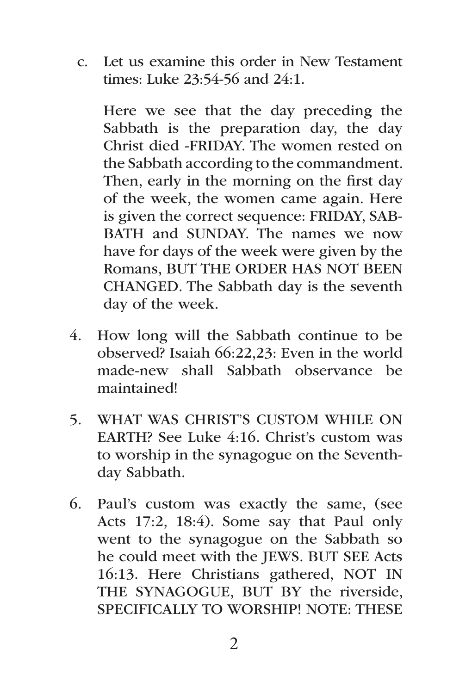c. Let us examine this order in New Testament times: Luke 23:54-56 and 24:1.

Here we see that the day preceding the Sabbath is the preparation day, the day Christ died -FRIDAY. The women rested on the Sabbath according to the commandment. Then, early in the morning on the first day of the week, the women came again. Here is given the correct sequence: FRIDAY, SAB-BATH and SUNDAY. The names we now have for days of the week were given by the Romans, BUT THE ORDER HAS NOT BEEN CHANGED. The Sabbath day is the seventh day of the week.

- 4. How long will the Sabbath continue to be observed? Isaiah 66:22,23: Even in the world made-new shall Sabbath observance be maintained!
- 5. WHAT WAS CHRIST'S CUSTOM WHILE ON EARTH? See Luke 4:16. Christ's custom was to worship in the synagogue on the Seventhday Sabbath.
- 6. Paul's custom was exactly the same, (see Acts 17:2, 18:4). Some say that Paul only went to the synagogue on the Sabbath so he could meet with the JEWS. BUT SEE Acts 16:13. Here Christians gathered, NOT IN THE SYNAGOGUE, BUT BY the riverside, SPECIFICALLY TO WORSHIP! NOTE: THESE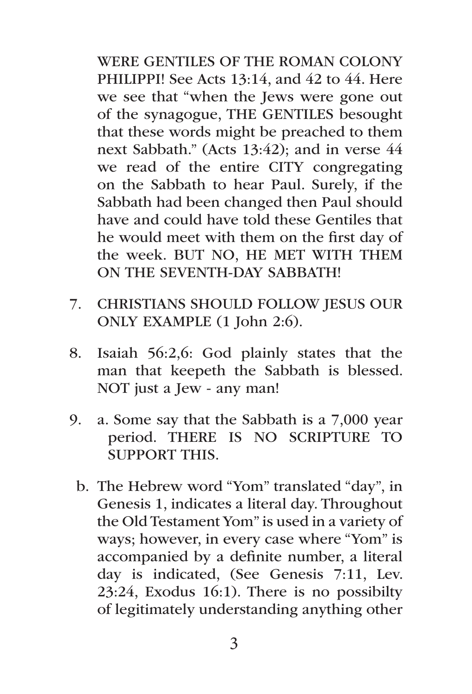WERE GENTILES OF THE ROMAN COLONY PHILIPPI! See Acts 13:14, and 42 to 44. Here we see that "when the Jews were gone out of the synagogue, THE GENTILES besought that these words might be preached to them next Sabbath." (Acts 13:42); and in verse 44 we read of the entire CITY congregating on the Sabbath to hear Paul. Surely, if the Sabbath had been changed then Paul should have and could have told these Gentiles that he would meet with them on the first day of the week. BUT NO, HE MET WITH THEM ON THE SEVENTH-DAY SABBATH!

- 7. CHRISTIANS SHOULD FOLLOW JESUS OUR ONLY EXAMPLE (1 John 2:6).
- 8. Isaiah 56:2,6: God plainly states that the man that keepeth the Sabbath is blessed. NOT just a Jew - any man!
- 9. a. Some say that the Sabbath is a 7,000 year period. THERE IS NO SCRIPTURE TO SUPPORT THIS.
	- b. The Hebrew word "Yom" translated "day", in Genesis 1, indicates a literal day. Throughout the Old Testament Yom" is used in a variety of ways; however, in every case where "Yom" is accompanied by a definite number, a literal day is indicated, (See Genesis 7:11, Lev. 23:24, Exodus 16:1). There is no possibilty of legitimately understanding anything other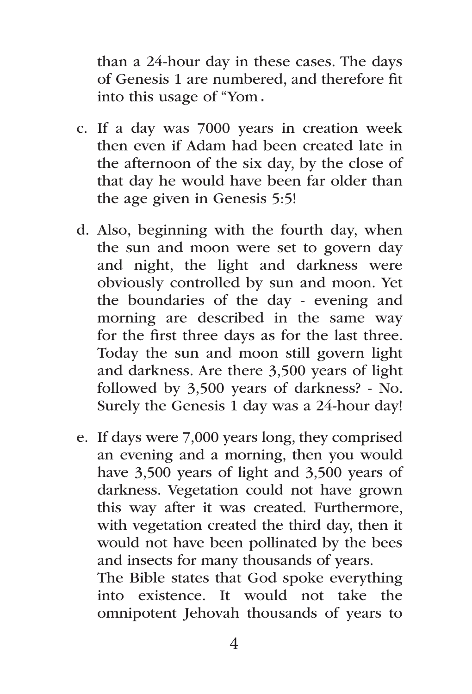than a 24-hour day in these cases. The days of Genesis 1 are numbered, and therefore fit into this usage of "Yom.

- c. If a day was 7000 years in creation week then even if Adam had been created late in the afternoon of the six day, by the close of that day he would have been far older than the age given in Genesis 5:5!
- d. Also, beginning with the fourth day, when the sun and moon were set to govern day and night, the light and darkness were obviously controlled by sun and moon. Yet the boundaries of the day - evening and morning are described in the same way for the first three days as for the last three. Today the sun and moon still govern light and darkness. Are there 3,500 years of light followed by 3,500 years of darkness? - No. Surely the Genesis 1 day was a 24-hour day!
- e. If days were 7,000 years long, they comprised an evening and a morning, then you would have 3,500 years of light and 3,500 years of darkness. Vegetation could not have grown this way after it was created. Furthermore, with vegetation created the third day, then it would not have been pollinated by the bees and insects for many thousands of years. The Bible states that God spoke everything into existence. It would not take the omnipotent Jehovah thousands of years to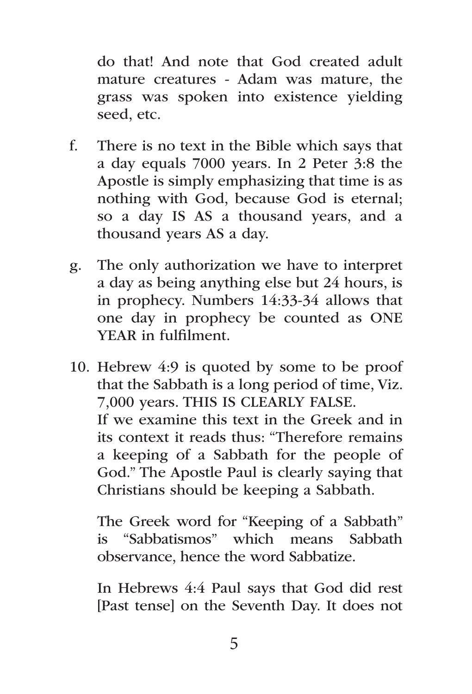do that! And note that God created adult mature creatures - Adam was mature, the grass was spoken into existence yielding seed, etc.

- f. There is no text in the Bible which says that a day equals 7000 years. In 2 Peter 3:8 the Apostle is simply emphasizing that time is as nothing with God, because God is eternal; so a day IS AS a thousand years, and a thousand years AS a day.
- g. The only authorization we have to interpret a day as being anything else but 24 hours, is in prophecy. Numbers 14:33-34 allows that one day in prophecy be counted as ONE YEAR in fulfilment.
- 10. Hebrew 4:9 is quoted by some to be proof that the Sabbath is a long period of time, Viz. 7,000 years. THIS IS CLEARLY FALSE. If we examine this text in the Greek and in its context it reads thus: "Therefore remains a keeping of a Sabbath for the people of God." The Apostle Paul is clearly saying that Christians should be keeping a Sabbath.

The Greek word for "Keeping of a Sabbath" is "Sabbatismos" which means Sabbath observance, hence the word Sabbatize.

In Hebrews 4:4 Paul says that God did rest [Past tense] on the Seventh Day. It does not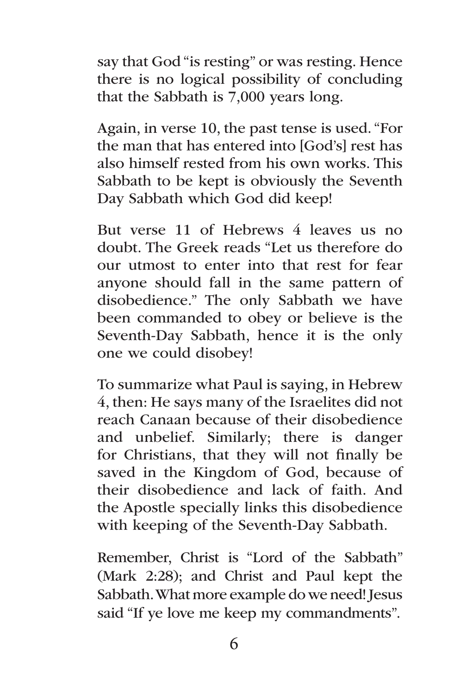say that God "is resting" or was resting. Hence there is no logical possibility of concluding that the Sabbath is 7,000 years long.

Again, in verse 10, the past tense is used. "For the man that has entered into [God's] rest has also himself rested from his own works. This Sabbath to be kept is obviously the Seventh Day Sabbath which God did keep!

But verse 11 of Hebrews 4 leaves us no doubt. The Greek reads "Let us therefore do our utmost to enter into that rest for fear anyone should fall in the same pattern of disobedience." The only Sabbath we have been commanded to obey or believe is the Seventh-Day Sabbath, hence it is the only one we could disobey!

To summarize what Paul is saying, in Hebrew 4, then: He says many of the Israelites did not reach Canaan because of their disobedience and unbelief. Similarly; there is danger for Christians, that they will not finally be saved in the Kingdom of God, because of their disobedience and lack of faith. And the Apostle specially links this disobedience with keeping of the Seventh-Day Sabbath.

Remember, Christ is "Lord of the Sabbath" (Mark 2:28); and Christ and Paul kept the Sabbath. What more example do we need! Jesus said "If ye love me keep my commandments".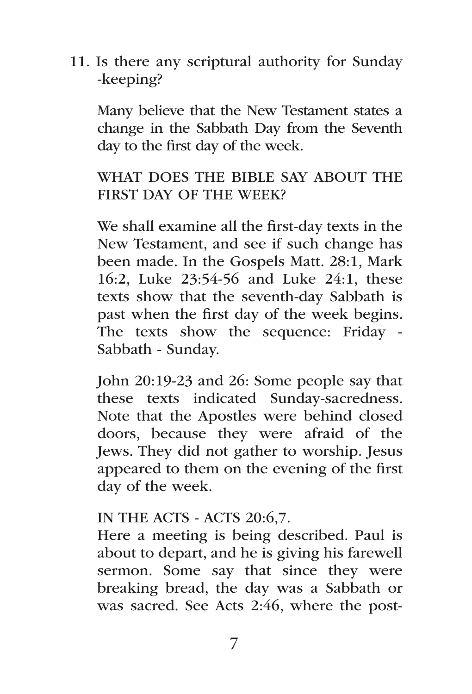11. Is there any scriptural authority for Sunday -keeping?

Many believe that the New Testament states a change in the Sabbath Day from the Seventh day to the first day of the week.

## WHAT DOES THE BIBLE SAY ABOUT THE FIRST DAY OF THE WEEK?

We shall examine all the first-day texts in the New Testament, and see if such change has been made. In the Gospels Matt. 28:1, Mark 16:2, Luke 23:54-56 and Luke 24:1, these texts show that the seventh-day Sabbath is past when the first day of the week begins. The texts show the sequence: Friday - Sabbath - Sunday.

John 20:19-23 and 26: Some people say that these texts indicated Sunday-sacredness. Note that the Apostles were behind closed doors, because they were afraid of the Jews. They did not gather to worship. Jesus appeared to them on the evening of the first day of the week.

### IN THE ACTS - ACTS 20:6,7.

Here a meeting is being described. Paul is about to depart, and he is giving his farewell sermon. Some say that since they were breaking bread, the day was a Sabbath or was sacred. See Acts 2:46, where the post-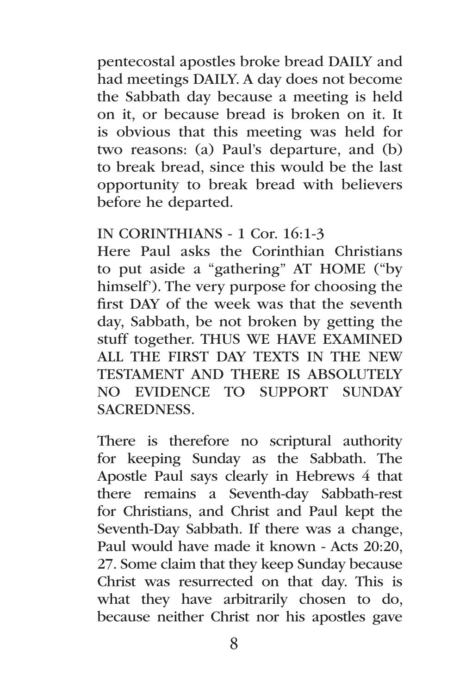pentecostal apostles broke bread DAILY and had meetings DAILY. A day does not become the Sabbath day because a meeting is held on it, or because bread is broken on it. It is obvious that this meeting was held for two reasons: (a) Paul's departure, and (b) to break bread, since this would be the last opportunity to break bread with believers before he departed.

#### IN CORINTHIANS - 1 Cor. 16:1-3

Here Paul asks the Corinthian Christians to put aside a "gathering" AT HOME ("by himself'). The very purpose for choosing the first DAY of the week was that the seventh day, Sabbath, be not broken by getting the stuff together. THUS WE HAVE EXAMINED ALL THE FIRST DAY TEXTS IN THE NEW TESTAMENT AND THERE IS ABSOLUTELY NO EVIDENCE TO SUPPORT SUNDAY SACREDNESS.

There is therefore no scriptural authority for keeping Sunday as the Sabbath. The Apostle Paul says clearly in Hebrews 4 that there remains a Seventh-day Sabbath-rest for Christians, and Christ and Paul kept the Seventh-Day Sabbath. If there was a change, Paul would have made it known - Acts 20:20, 27. Some claim that they keep Sunday because Christ was resurrected on that day. This is what they have arbitrarily chosen to do, because neither Christ nor his apostles gave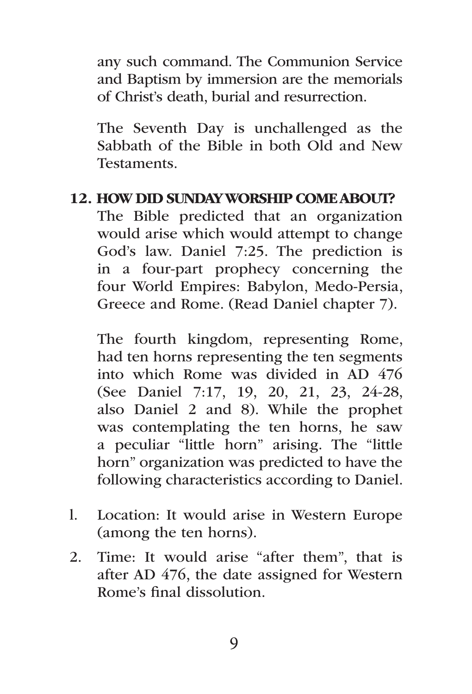any such command. The Communion Service and Baptism by immersion are the memorials of Christ's death, burial and resurrection.

The Seventh Day is unchallenged as the Sabbath of the Bible in both Old and New **Testaments** 

#### 12. HOW DID SUNDAY WORSHIP COME ABOUT?

The Bible predicted that an organization would arise which would attempt to change God's law. Daniel 7:25. The prediction is in a four-part prophecy concerning the four World Empires: Babylon, Medo-Persia, Greece and Rome. (Read Daniel chapter 7).

The fourth kingdom, representing Rome, had ten horns representing the ten segments into which Rome was divided in AD 476 (See Daniel 7:17, 19, 20, 21, 23, 24-28, also Daniel 2 and 8). While the prophet was contemplating the ten horns, he saw a peculiar "little horn" arising. The "little horn" organization was predicted to have the following characteristics according to Daniel.

- l. Location: It would arise in Western Europe (among the ten horns).
- 2. Time: It would arise "after them", that is after AD 476, the date assigned for Western Rome's final dissolution.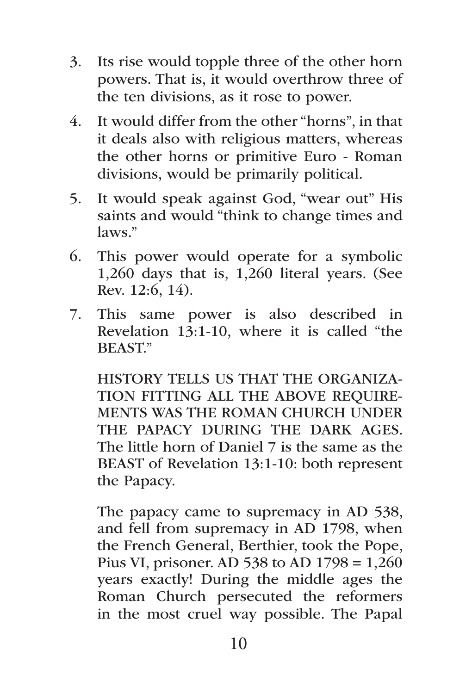- 3. Its rise would topple three of the other horn powers. That is, it would overthrow three of the ten divisions, as it rose to power.
- 4. It would differ from the other "horns", in that it deals also with religious matters, whereas the other horns or primitive Euro - Roman divisions, would be primarily political.
- 5. It would speak against God, "wear out" His saints and would "think to change times and laws."
- 6. This power would operate for a symbolic 1,260 days that is, 1,260 literal years. (See Rev. 12:6, 14).
- 7. This same power is also described in Revelation  $1\overline{3}$ :1-10, where it is called "the BEAST."

HISTORY TELLS US THAT THE ORGANIZA-TION FITTING ALL THE ABOVE REQUIRE-MENTS WAS THE ROMAN CHURCH UNDER THE PAPACY DURING THE DARK AGES. The little horn of Daniel 7 is the same as the BEAST of Revelation 13:1-10: both represent the Papacy.

The papacy came to supremacy in AD 538, and fell from supremacy in AD 1798, when the French General, Berthier, took the Pope, Pius VI, prisoner. AD 538 to AD 1798 = 1,260 years exactly! During the middle ages the Roman Church persecuted the reformers in the most cruel way possible. The Papal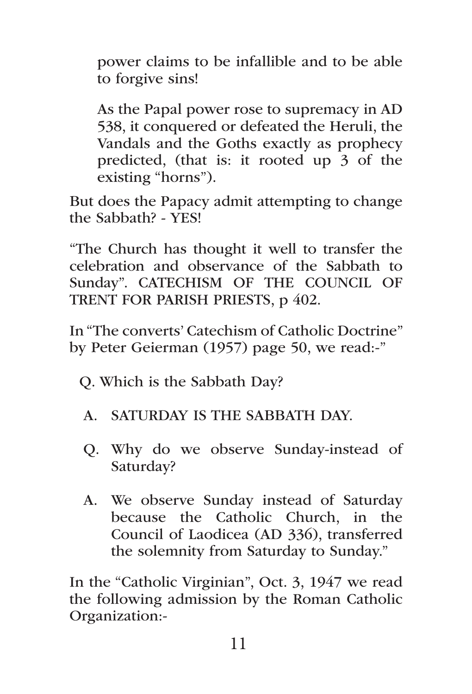power claims to be infallible and to be able to forgive sins!

As the Papal power rose to supremacy in AD 538, it conquered or defeated the Heruli, the Vandals and the Goths exactly as prophecy predicted, (that is: it rooted up 3 of the existing "horns").

But does the Papacy admit attempting to change the Sabbath? - YES!

"The Church has thought it well to transfer the celebration and observance of the Sabbath to Sunday". CATECHISM OF THE COUNCIL OF TRENT FOR PARISH PRIESTS, p 402.

In "The converts' Catechism of Catholic Doctrine" by Peter Geierman (1957) page 50, we read:-"

Q. Which is the Sabbath Day?

- A. SATURDAY IS THE SABBATH DAY.
- Q. Why do we observe Sunday-instead of Saturday?
- A. We observe Sunday instead of Saturday because the Catholic Church, in the Council of Laodicea (AD 336), transferred the solemnity from Saturday to Sunday."

In the "Catholic Virginian", Oct. 3, 1947 we read the following admission by the Roman Catholic Organization:-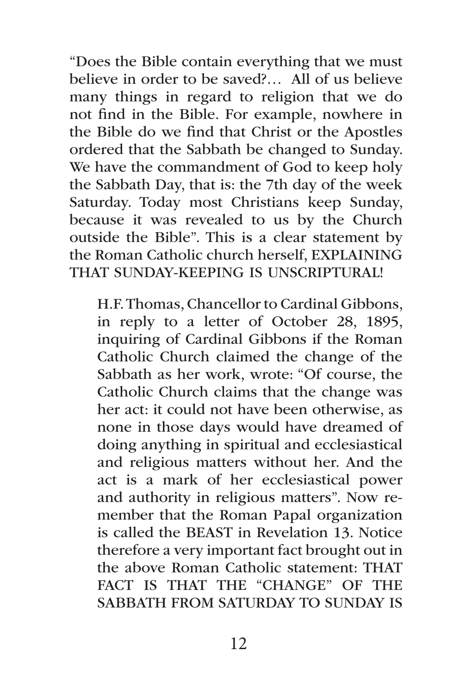"Does the Bible contain everything that we must believe in order to be saved?… All of us believe many things in regard to religion that we do not find in the Bible. For example, nowhere in the Bible do we find that Christ or the Apostles ordered that the Sabbath be changed to Sunday. We have the commandment of God to keep holy the Sabbath Day, that is: the 7th day of the week Saturday. Today most Christians keep Sunday, because it was revealed to us by the Church outside the Bible". This is a clear statement by the Roman Catholic church herself, EXPLAINING THAT SUNDAY-KEEPING IS UNSCRIPTURAL!

H.F. Thomas, Chancellor to Cardinal Gibbons, in reply to a letter of October 28, 1895, inquiring of Cardinal Gibbons if the Roman Catholic Church claimed the change of the Sabbath as her work, wrote: "Of course, the Catholic Church claims that the change was her act: it could not have been otherwise, as none in those days would have dreamed of doing anything in spiritual and ecclesiastical and religious matters without her. And the act is a mark of her ecclesiastical power and authority in religious matters". Now remember that the Roman Papal organization is called the BEAST in Revelation 13. Notice therefore a very important fact brought out in the above Roman Catholic statement: THAT FACT IS THAT THE "CHANGE" OF THE SABBATH FROM SATURDAY TO SUNDAY IS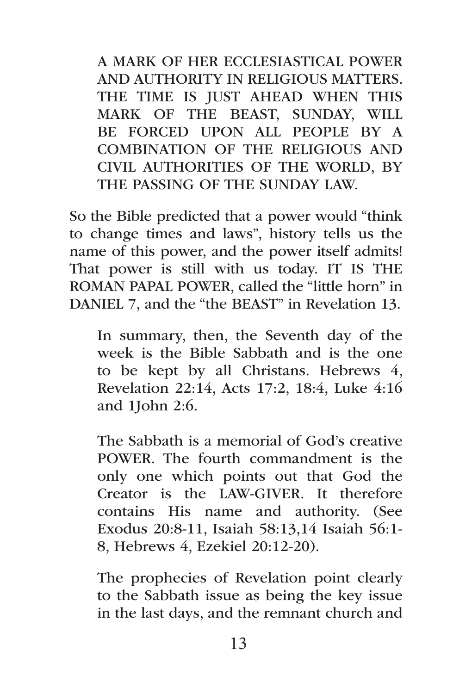A MARK OF HER ECCLESIASTICAL POWER AND AUTHORITY IN RELIGIOUS MATTERS. THE TIME IS JUST AHEAD WHEN THIS MARK OF THE BEAST, SUNDAY, WILL BE FORCED UPON ALL PEOPLE BY A COMBINATION OF THE RELIGIOUS AND CIVIL AUTHORITIES OF THE WORLD, BY THE PASSING OF THE SUNDAY LAW.

So the Bible predicted that a power would "think to change times and laws", history tells us the name of this power, and the power itself admits! That power is still with us today. IT IS THE ROMAN PAPAL POWER, called the "little horn" in DANIEL 7, and the "the BEAST" in Revelation 13.

In summary, then, the Seventh day of the week is the Bible Sabbath and is the one to be kept by all Christans. Hebrews 4, Revelation 22:14, Acts 17:2, 18:4, Luke 4:16 and 1John 2:6.

The Sabbath is a memorial of God's creative POWER. The fourth commandment is the only one which points out that God the Creator is the LAW-GIVER. It therefore contains His name and authority. (See Exodus 20:8-11, Isaiah 58:13,14 Isaiah 56:1- 8, Hebrews 4, Ezekiel 20:12-20).

The prophecies of Revelation point clearly to the Sabbath issue as being the key issue in the last days, and the remnant church and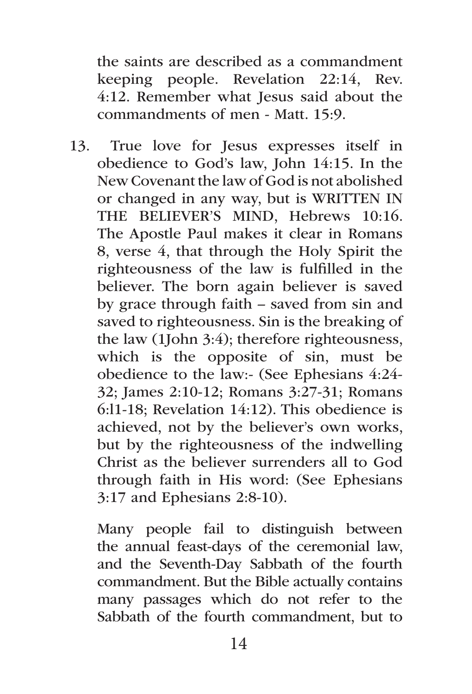the saints are described as a commandment keeping people. Revelation 22:14, Rev. 4:12. Remember what Jesus said about the commandments of men - Matt. 15:9.

13. True love for Jesus expresses itself in obedience to God's law, John 14:15. In the New Covenant the law of God is not abolished or changed in any way, but is WRITTEN IN THE BELIEVER'S MIND, Hebrews 10:16. The Apostle Paul makes it clear in Romans 8, verse 4, that through the Holy Spirit the righteousness of the law is fulfilled in the believer. The born again believer is saved by grace through faith – saved from sin and saved to righteousness. Sin is the breaking of the law (1John 3:4); therefore righteousness, which is the opposite of sin, must be obedience to the law:- (See Ephesians 4:24- 32; James 2:10-12; Romans 3:27-31; Romans 6:l1-18; Revelation 14:12). This obedience is achieved, not by the believer's own works, but by the righteousness of the indwelling Christ as the believer surrenders all to God through faith in His word: (See Ephesians 3:17 and Ephesians 2:8-10).

Many people fail to distinguish between the annual feast-days of the ceremonial law, and the Seventh-Day Sabbath of the fourth commandment. But the Bible actually contains many passages which do not refer to the Sabbath of the fourth commandment, but to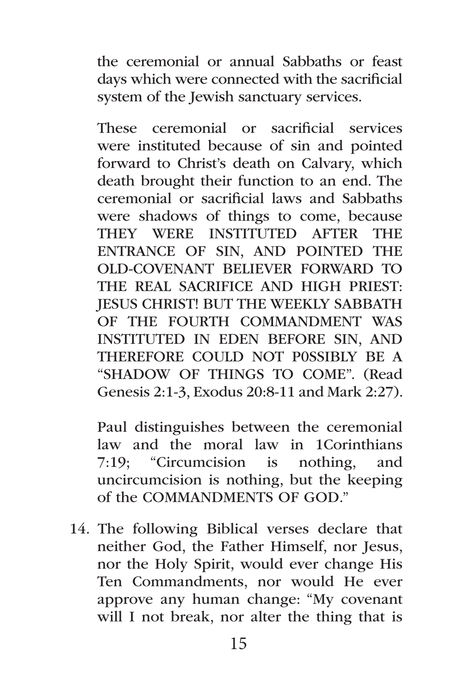the ceremonial or annual Sabbaths or feast days which were connected with the sacrificial system of the Jewish sanctuary services.

These ceremonial or sacrificial services were instituted because of sin and pointed forward to Christ's death on Calvary, which death brought their function to an end. The ceremonial or sacrificial laws and Sabbaths were shadows of things to come, because THEY WERE INSTITUTED AFTER THE ENTRANCE OF SIN, AND POINTED THE OLD-COVENANT BELIEVER FORWARD TO THE REAL SACRIFICE AND HIGH PRIEST: JESUS CHRIST! BUT THE WEEKLY SABBATH OF THE FOURTH COMMANDMENT WAS INSTITUTED IN EDEN BEFORE SIN, AND THEREFORE COULD NOT P0SSIBLY BE A "SHADOW OF THINGS TO COME". (Read Genesis 2:1-3, Exodus 20:8-11 and Mark 2:27).

Paul distinguishes between the ceremonial law and the moral law in 1Corinthians 7:19; "Circumcision is nothing, and uncircumcision is nothing, but the keeping of the COMMANDMENTS OF GOD."

14. The following Biblical verses declare that neither God, the Father Himself, nor Jesus, nor the Holy Spirit, would ever change His Ten Commandments, nor would He ever approve any human change: "My covenant will I not break, nor alter the thing that is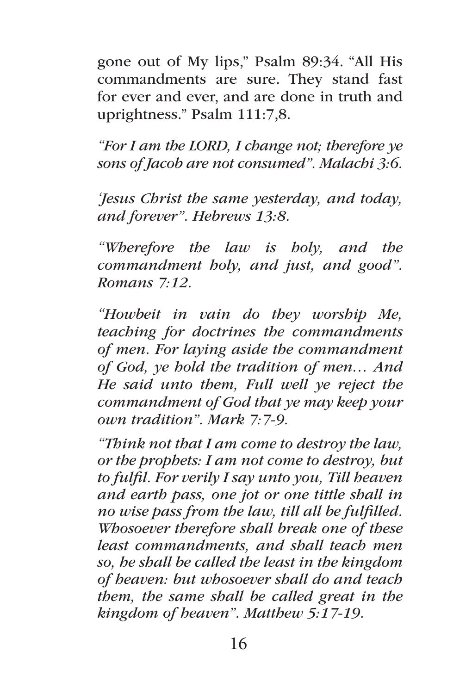gone out of My lips," Psalm 89:34. "All His commandments are sure. They stand fast for ever and ever, and are done in truth and uprightness." Psalm 111:7,8.

*"For I am the LORD, I change not; therefore ye sons of Jacob are not consumed". Malachi 3:6.*

*'Jesus Christ the same yesterday, and today, and forever". Hebrews 13:8.*

*"Wherefore the law is holy, and the commandment holy, and just, and good". Romans 7:12.*

*"Howbeit in vain do they worship Me, teaching for doctrines the commandments of men. For laying aside the commandment of God, ye hold the tradition of men… And He said unto them, Full well ye reject the commandment of God that ye may keep your own tradition". Mark 7:7-9.*

*"Think not that I am come to destroy the law, or the prophets: I am not come to destroy, but to fulfil. For verily I say unto you, Till heaven and earth pass, one jot or one tittle shall in no wise pass from the law, till all be fulfilled. Whosoever therefore shall break one of these least commandments, and shall teach men so, he shall be called the least in the kingdom of heaven: but whosoever shall do and teach them, the same shall be called great in the kingdom of heaven". Matthew 5:17-19.*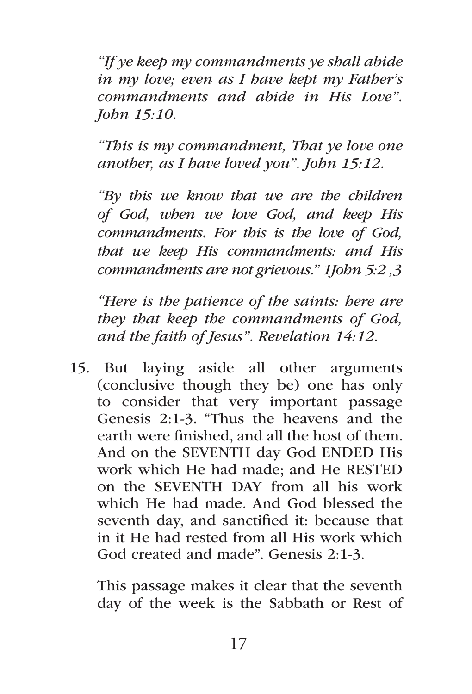*"If ye keep my commandments ye shall abide in my love; even as I have kept my Father's commandments and abide in His Love". John 15:10.*

*"This is my commandment, That ye love one another, as I have loved you". John 15:12.*

*"By this we know that we are the children of God, when we love God, and keep His commandments. For this is the love of God, that we keep His commandments: and His commandments are not grievous." 1John 5:2 ,3*

*"Here is the patience of the saints: here are they that keep the commandments of God, and the faith of Jesus". Revelation 14:12.*

15. But laying aside all other arguments (conclusive though they be) one has only to consider that very important passage Genesis 2:1-3. "Thus the heavens and the earth were finished, and all the host of them. And on the SEVENTH day God ENDED His work which He had made; and He RESTED on the SEVENTH DAY from all his work which He had made. And God blessed the seventh day, and sanctified it: because that in it He had rested from all His work which God created and made". Genesis 2:1-3.

This passage makes it clear that the seventh day of the week is the Sabbath or Rest of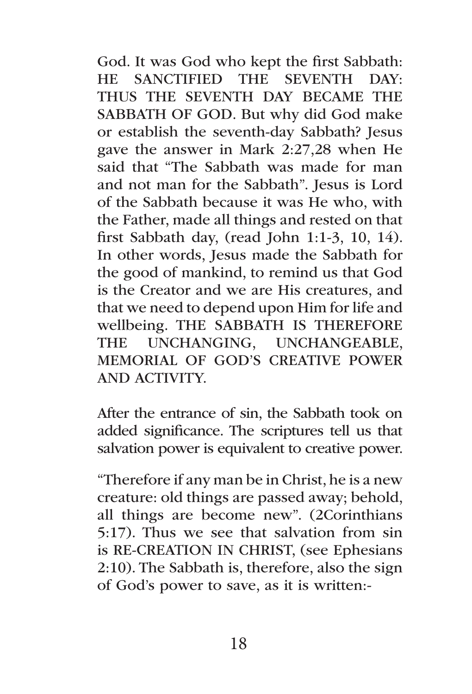God. It was God who kept the first Sabbath: HE SANCTIFIED THE SEVENTH DAY: THUS THE SEVENTH DAY BECAME THE SABBATH OF GOD. But why did God make or establish the seventh-day Sabbath? Jesus gave the answer in Mark 2:27,28 when He said that "The Sabbath was made for man and not man for the Sabbath". Jesus is Lord of the Sabbath because it was He who, with the Father, made all things and rested on that first Sabbath day, (read John 1:1-3, 10, 14). In other words, Jesus made the Sabbath for the good of mankind, to remind us that God is the Creator and we are His creatures, and that we need to depend upon Him for life and wellbeing. THE SABBATH IS THEREFORE THE UNCHANGING, UNCHANGEABLE, MEMORIAL OF GOD'S CREATIVE POWER AND ACTIVITY.

After the entrance of sin, the Sabbath took on added significance. The scriptures tell us that salvation power is equivalent to creative power.

"Therefore if any man be in Christ, he is a new creature: old things are passed away; behold, all things are become new". (2Corinthians 5:17). Thus we see that salvation from sin is RE-CREATION IN CHRIST, (see Ephesians 2:10). The Sabbath is, therefore, also the sign of God's power to save, as it is written:-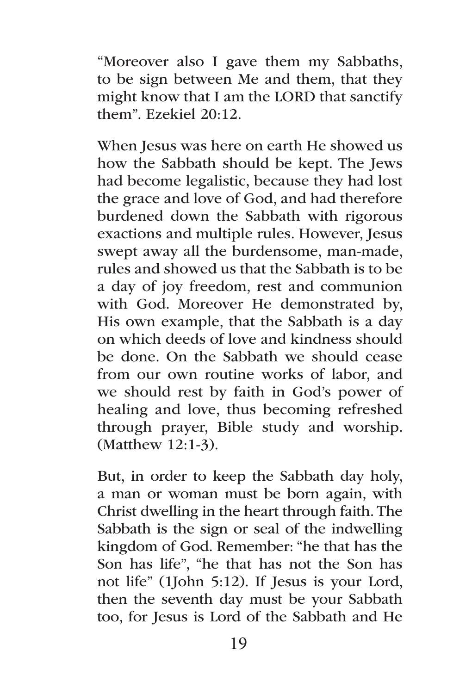"Moreover also I gave them my Sabbaths, to be sign between Me and them, that they might know that I am the LORD that sanctify them". Ezekiel 20:12.

When Jesus was here on earth He showed us how the Sabbath should be kept. The Jews had become legalistic, because they had lost the grace and love of God, and had therefore burdened down the Sabbath with rigorous exactions and multiple rules. However, Jesus swept away all the burdensome, man-made, rules and showed us that the Sabbath is to be a day of joy freedom, rest and communion with God. Moreover He demonstrated by, His own example, that the Sabbath is a day on which deeds of love and kindness should be done. On the Sabbath we should cease from our own routine works of labor, and we should rest by faith in God's power of healing and love, thus becoming refreshed through prayer, Bible study and worship. (Matthew 12:1-3).

But, in order to keep the Sabbath day holy, a man or woman must be born again, with Christ dwelling in the heart through faith. The Sabbath is the sign or seal of the indwelling kingdom of God. Remember: "he that has the Son has life", "he that has not the Son has not life" (1John 5:12). If Jesus is your Lord, then the seventh day must be your Sabbath too, for Jesus is Lord of the Sabbath and He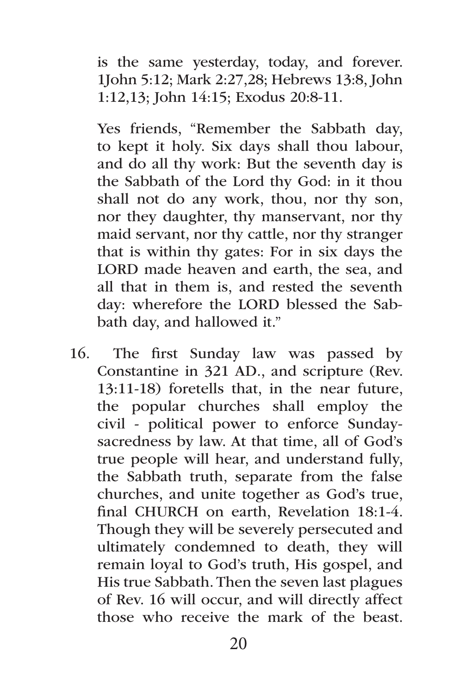is the same yesterday, today, and forever. 1John 5:12; Mark 2:27,28; Hebrews 13:8, John 1:12,13; John 14:15; Exodus 20:8-11.

Yes friends, "Remember the Sabbath day, to kept it holy. Six days shall thou labour, and do all thy work: But the seventh day is the Sabbath of the Lord thy God: in it thou shall not do any work, thou, nor thy son, nor they daughter, thy manservant, nor thy maid servant, nor thy cattle, nor thy stranger that is within thy gates: For in six days the LORD made heaven and earth, the sea, and all that in them is, and rested the seventh day: wherefore the LORD blessed the Sabbath day, and hallowed it."

16. The first Sunday law was passed by Constantine in 321 AD., and scripture (Rev. 13:11-18) foretells that, in the near future, the popular churches shall employ the civil - political power to enforce Sundaysacredness by law. At that time, all of God's true people will hear, and understand fully, the Sabbath truth, separate from the false churches, and unite together as God's true, final CHURCH on earth, Revelation 18:1-4. Though they will be severely persecuted and ultimately condemned to death, they will remain loyal to God's truth, His gospel, and His true Sabbath. Then the seven last plagues of Rev. 16 will occur, and will directly affect those who receive the mark of the beast.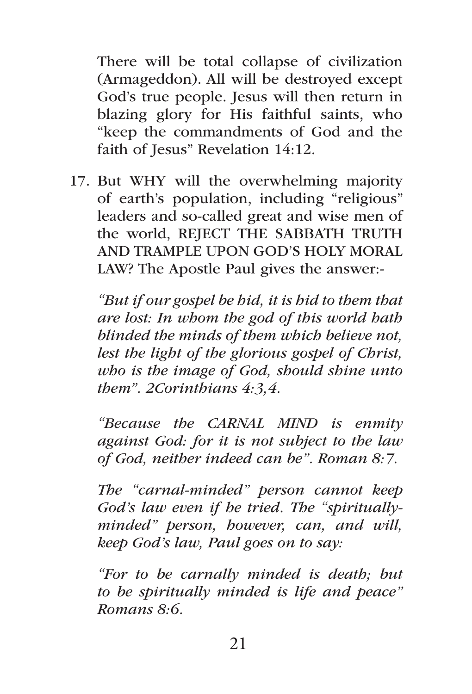There will be total collapse of civilization (Armageddon). All will be destroyed except God's true people. Jesus will then return in blazing glory for His faithful saints, who "keep the commandments of God and the faith of Jesus" Revelation 14:12.

17. But WHY will the overwhelming majority of earth's population, including "religious" leaders and so-called great and wise men of the world, REJECT THE SABBATH TRUTH AND TRAMPLE UPON GOD'S HOLY MORAL LAW? The Apostle Paul gives the answer:-

*"But if our gospel be hid, it is hid to them that are lost: In whom the god of this world hath blinded the minds of them which believe not, lest the light of the glorious gospel of Christ, who is the image of God, should shine unto them". 2Corinthians 4:3,4.* 

*"Because the CARNAL MIND is enmity against God: for it is not subject to the law of God, neither indeed can be". Roman 8:7.*

*The "carnal-minded" person cannot keep God's law even if he tried. The "spirituallyminded" person, however, can, and will, keep God's law, Paul goes on to say:*

*"For to be carnally minded is death; but to be spiritually minded is life and peace" Romans 8:6.*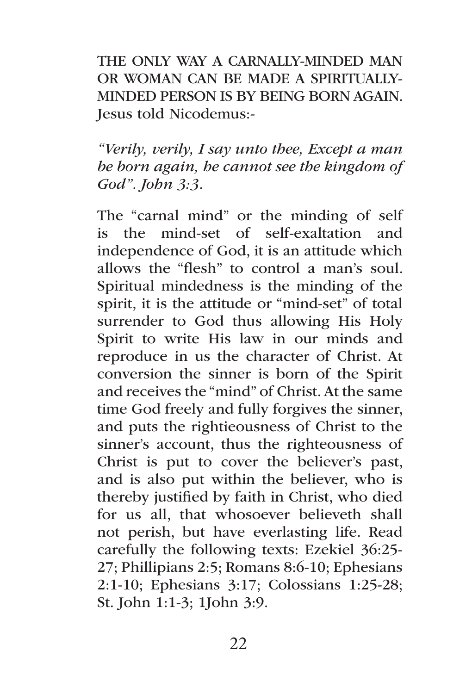THE ONLY WAY A CARNALLY-MINDED MAN OR WOMAN CAN BE MADE A SPIRITUALLY-MINDED PERSON IS BY BEING BORN AGAIN. Jesus told Nicodemus:-

*"Verily, verily, I say unto thee, Except a man be born again, he cannot see the kingdom of God". John 3:3.*

The "carnal mind" or the minding of self is the mind-set of self-exaltation and independence of God, it is an attitude which allows the "flesh" to control a man's soul. Spiritual mindedness is the minding of the spirit, it is the attitude or "mind-set" of total surrender to God thus allowing His Holy Spirit to write His law in our minds and reproduce in us the character of Christ. At conversion the sinner is born of the Spirit and receives the "mind" of Christ. At the same time God freely and fully forgives the sinner, and puts the rightieousness of Christ to the sinner's account, thus the righteousness of Christ is put to cover the believer's past, and is also put within the believer, who is thereby justified by faith in Christ, who died for us all, that whosoever believeth shall not perish, but have everlasting life. Read carefully the following texts: Ezekiel 36:25- 27; Phillipians 2:5; Romans 8:6-10; Ephesians 2:1-10; Ephesians 3:17; Colossians 1:25-28; St. John 1:1-3; 1John 3:9.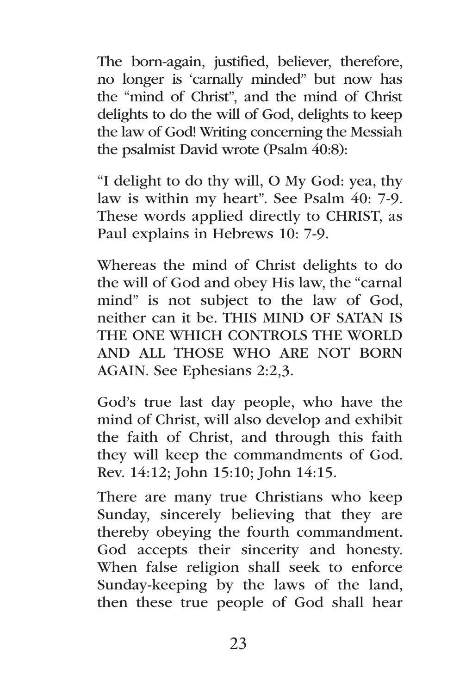The born-again, justified, believer, therefore, no longer is 'carnally minded" but now has the "mind of Christ", and the mind of Christ delights to do the will of God, delights to keep the law of God! Writing concerning the Messiah the psalmist David wrote (Psalm 40:8):

"I delight to do thy will, O My God: yea, thy law is within my heart". See Psalm 40: 7-9. These words applied directly to CHRIST, as Paul explains in Hebrews 10: 7-9.

Whereas the mind of Christ delights to do the will of God and obey His law, the "carnal mind" is not subject to the law of God, neither can it be. THIS MIND OF SATAN IS THE ONE WHICH CONTROLS THE WORLD AND ALL THOSE WHO ARE NOT BORN AGAIN. See Ephesians 2:2,3.

God's true last day people, who have the mind of Christ, will also develop and exhibit the faith of Christ, and through this faith they will keep the commandments of God. Rev. 14:12; John 15:10; John 14:15.

There are many true Christians who keep Sunday, sincerely believing that they are thereby obeying the fourth commandment. God accepts their sincerity and honesty. When false religion shall seek to enforce Sunday-keeping by the laws of the land, then these true people of God shall hear